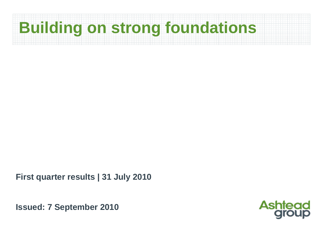# **Building on strong foundations**

**First quarter results | 31 July 2010**

**Issued: 7 September 2010**

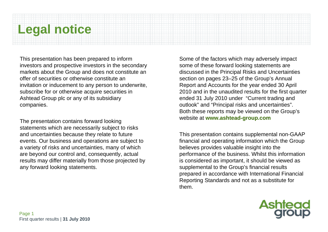### **Legal notice**

This presentation has been prepared to inform investors and prospective investors in the secondary markets about the Group and does not constitute an offer of securities or otherwise constitute an invitation or inducement to any person to underwrite, subscribe for or otherwise acquire securities in Ashtead Group plc or any of its subsidiary companies.

The presentation contains forward looking statements which are necessarily subject to risks and uncertainties because they relate to future events. Our business and operations are subject to a variety of risks and uncertainties, many of which are beyond our control and, consequently, actual results may differ materially from those projected by any forward looking statements.

Some of the factors which may adversely impact some of these forward looking statements are discussed in the Principal Risks and Uncertainties section on pages 23–25 of the Group's Annual Report and Accounts for the year ended 30 April 2010 and in the unaudited results for the first quarter ended 31 July 2010 under "Current trading and outlook" and "Principal risks and uncertainties". Both these reports may be viewed on the Group's website at **www.ashtead-group.com**

This presentation contains supplemental non-GAAP financial and operating information which the Group believes provides valuable insight into the performance of the business. Whilst this information is considered as important, it should be viewed as supplemental to the Group's financial results prepared in accordance with International Financial Reporting Standards and not as a substitute for them.

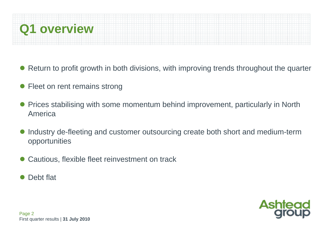

- Return to profit growth in both divisions, with improving trends throughout the quarter
- $\bullet$ Fleet on rent remains strong
- $\bullet$  Prices stabilising with some momentum behind improvement, particularly in North America
- $\bullet$  Industry de-fleeting and customer outsourcing create both short and medium-term opportunities
- $\bullet$ Cautious, flexible fleet reinvestment on track
- $\bullet$ Debt flat

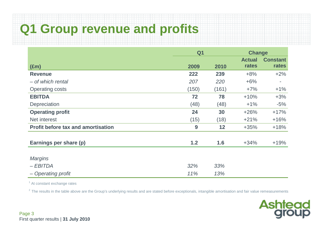### **Q1 Group revenue and profits**

|                                           | Q <sub>1</sub> |       | <b>Change</b> |                 |  |
|-------------------------------------------|----------------|-------|---------------|-----------------|--|
|                                           |                |       | <b>Actual</b> | <b>Constant</b> |  |
| $(\text{Em})$                             | 2009           | 2010  | rates         | rates           |  |
| <b>Revenue</b>                            | 222            | 239   | $+8%$         | $+2%$           |  |
| - of which rental                         | 207            | 220   | $+6%$         | ٠               |  |
| <b>Operating costs</b>                    | (150)          | (161) | $+7%$         | $+1\%$          |  |
| <b>EBITDA</b>                             | 72             | 78    | $+10%$        | $+3%$           |  |
| Depreciation                              | (48)           | (48)  | $+1%$         | $-5%$           |  |
| <b>Operating profit</b>                   | 24             | 30    | $+26%$        | $+17%$          |  |
| Net interest                              | (15)           | (18)  | $+21%$        | $+16%$          |  |
| <b>Profit before tax and amortisation</b> | 9              | 12    | $+35%$        | $+18%$          |  |
| Earnings per share (p)                    | 1.2            | 1.6   | $+34%$        | $+19%$          |  |
| <b>Margins</b>                            |                |       |               |                 |  |
| $-EBITDA$                                 | 32%            | 33%   |               |                 |  |
| - Operating profit                        | 11%            | 13%   |               |                 |  |

 $<sup>1</sup>$  At constant exchange rates</sup>

 $2$  The results in the table above are the Group's underlying results and are stated before exceptionals, intangible amortisation and fair value remeasurements

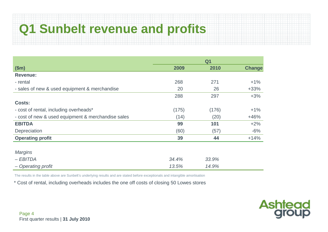### **Q1 Sunbelt revenue and profits**

|                                                    | Q <sub>1</sub> |       |               |  |  |  |
|----------------------------------------------------|----------------|-------|---------------|--|--|--|
| \$m\$                                              | 2009           | 2010  | <b>Change</b> |  |  |  |
| <b>Revenue:</b>                                    |                |       |               |  |  |  |
| - rental                                           | 268            | 271   | $+1\%$        |  |  |  |
| - sales of new & used equipment & merchandise      | 20             | 26    | $+33%$        |  |  |  |
|                                                    | 288            | 297   | $+3%$         |  |  |  |
| <b>Costs:</b>                                      |                |       |               |  |  |  |
| - cost of rental, including overheads*             | (175)          | (176) | $+1%$         |  |  |  |
| - cost of new & used equipment & merchandise sales | (14)           | (20)  | $+46%$        |  |  |  |
| <b>EBITDA</b>                                      | 99             | 101   | $+2%$         |  |  |  |
| Depreciation                                       | (60)           | (57)  | $-6%$         |  |  |  |
| <b>Operating profit</b>                            | 39             | 44    | $+14%$        |  |  |  |
|                                                    |                |       |               |  |  |  |
| <b>Margins</b>                                     |                |       |               |  |  |  |
| $-EBITDA$                                          | 34.4%          | 33.9% |               |  |  |  |
| - Operating profit                                 | 13.5%          | 14.9% |               |  |  |  |

The results in the table above are Sunbelt's underlying results and are stated before exceptionals and intangible amortisation

\* Cost of rental, including overheads includes the one off costs of closing 50 Lowes stores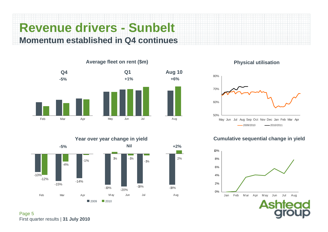### **Revenue drivers - Sunbelt Momentum established in Q4 continues**



**Year over year change in yield**







#### **Cumulative sequential change in yield**



Page 5 First quarter results | **31 July 2010**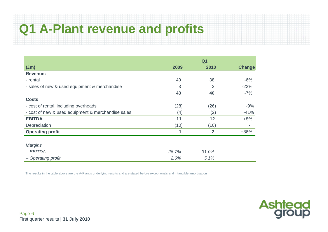### **Q1 A-Plant revenue and profits**

|                                                    | Q <sub>1</sub> |                |               |  |  |  |
|----------------------------------------------------|----------------|----------------|---------------|--|--|--|
| $(\text{Em})$                                      | 2009           | 2010           | <b>Change</b> |  |  |  |
| <b>Revenue:</b>                                    |                |                |               |  |  |  |
| - rental                                           | 40             | 38             | $-6%$         |  |  |  |
| - sales of new & used equipment & merchandise      | 3              | $\overline{2}$ | $-22%$        |  |  |  |
|                                                    | 43             | 40             | $-7%$         |  |  |  |
| <b>Costs:</b>                                      |                |                |               |  |  |  |
| - cost of rental, including overheads              | (28)           | (26)           | $-9%$         |  |  |  |
| - cost of new & used equipment & merchandise sales | (4)            | (2)            | $-41%$        |  |  |  |
| <b>EBITDA</b>                                      | 11             | 12             | $+8%$         |  |  |  |
| Depreciation                                       | (10)           | (10)           |               |  |  |  |
| <b>Operating profit</b>                            | 1              | $\overline{2}$ | $+86%$        |  |  |  |
|                                                    |                |                |               |  |  |  |
| <b>Margins</b>                                     |                |                |               |  |  |  |
| $-EBITDA$                                          | 26.7%          | 31.0%          |               |  |  |  |
| - Operating profit                                 | 2.6%           | 5.1%           |               |  |  |  |

The results in the table above are the A-Plant's underlying results and are stated before exceptionals and intangible amortisation

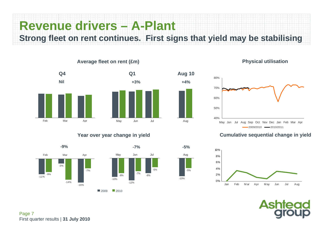## **Revenue drivers – A-Plant**

**Strong fleet on rent continues. First signs that yield may be stabilising**

-10%

-5%

**-5%**

**+4%**



#### **Average fleet on rent (£m)**



#### **Year over year change in yield**



#### **Physical utilisation**



#### **Cumulative sequential change in yield**



Asr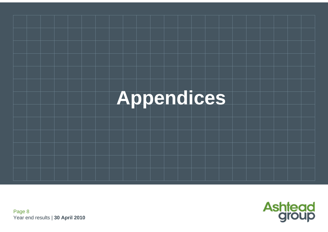



Page 8 Year end results | **30 April 2010**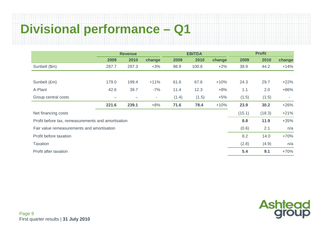### **Divisional performance – Q1**

|                                                    | <b>Revenue</b> |       |                          |       | <b>EBITDA</b> |        | <b>Profit</b> |        |                          |  |
|----------------------------------------------------|----------------|-------|--------------------------|-------|---------------|--------|---------------|--------|--------------------------|--|
|                                                    | 2009           | 2010  | change                   | 2009  | 2010          | change | 2009          | 2010   | change                   |  |
| Sunbelt (\$m)                                      | 287.7          | 297.3 | $+3%$                    | 98.9  | 100.8         | $+2%$  | 38.9          | 44.2   | $+14%$                   |  |
|                                                    |                |       |                          |       |               |        |               |        |                          |  |
| Sunbelt (£m)                                       | 179.0          | 199.4 | $+11%$                   | 61.6  | 67.6          | $+10%$ | 24.3          | 29.7   | $+22%$                   |  |
| A-Plant                                            | 42.6           | 39.7  | $-7%$                    | 11.4  | 12.3          | $+8%$  | 1.1           | 2.0    | $+86%$                   |  |
| Group central costs                                |                |       | $\overline{\phantom{a}}$ | (1.4) | (1.5)         | $+5%$  | (1.5)         | (1.5)  | $\overline{\phantom{a}}$ |  |
|                                                    | 221.6          | 239.1 | $+8%$                    | 71.6  | 78.4          | $+10%$ | 23.9          | 30.2   | $+26%$                   |  |
| Net financing costs                                |                |       |                          |       |               |        | (15.1)        | (18.3) | $+21%$                   |  |
| Profit before tax, remeasurements and amortisation |                |       |                          |       |               |        | 8.8           | 11.9   | $+35%$                   |  |
| Fair value remeasurements and amortisation         |                |       |                          |       |               |        | (0.6)         | 2.1    | n/a                      |  |
| Profit before taxation                             |                |       |                          |       |               |        | 8.2           | 14.0   | $+70%$                   |  |
| <b>Taxation</b>                                    |                |       |                          |       |               |        | (2.8)         | (4.9)  | n/a                      |  |
| Profit after taxation                              |                |       |                          |       |               |        | 5.4           | 9.1    | $+70%$                   |  |

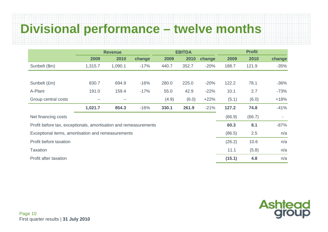### **Divisional performance – twelve months**

|                                                                  | <b>EBITDA</b><br><b>Revenue</b> |         |        |       | <b>Profit</b> |        |        |        |        |
|------------------------------------------------------------------|---------------------------------|---------|--------|-------|---------------|--------|--------|--------|--------|
|                                                                  | 2009                            | 2010    | change | 2009  | 2010          | change | 2009   | 2010   | change |
| Sunbelt (\$m)                                                    | 1,315.7                         | 1,090.1 | $-17%$ | 440.7 | 352.7         | $-20%$ | 188.7  | 121.9  | $-35%$ |
|                                                                  |                                 |         |        |       |               |        |        |        |        |
| Sunbelt (£m)                                                     | 830.7                           | 694.9   | $-16%$ | 280.0 | 225.0         | $-20%$ | 122.2  | 78.1   | $-36%$ |
| A-Plant                                                          | 191.0                           | 159.4   | $-17%$ | 55.0  | 42.9          | $-22%$ | 10.1   | 2.7    | $-73%$ |
| Group central costs                                              |                                 |         |        | (4.9) | (6.0)         | $+22%$ | (5.1)  | (6.0)  | $+18%$ |
|                                                                  | 1,021.7                         | 854.3   | $-16%$ | 330.1 | 261.9         | $-21%$ | 127.2  | 74.8   | $-41%$ |
| Net financing costs                                              |                                 |         |        |       |               |        | (66.9) | (66.7) | $\sim$ |
| Profit before tax, exceptionals, amortisation and remeasurements |                                 |         |        |       |               |        | 60.3   | 8.1    | $-87%$ |
| Exceptional items, amortisation and remeasurements               |                                 |         |        |       |               |        | (86.5) | 2.5    | n/a    |
| Profit before taxation                                           |                                 |         |        |       |               |        | (26.2) | 10.6   | n/a    |
| <b>Taxation</b>                                                  |                                 |         |        |       |               |        | 11.1   | (5.8)  | n/a    |
| Profit after taxation                                            |                                 |         |        |       |               |        | (15.1) | 4.8    | n/a    |

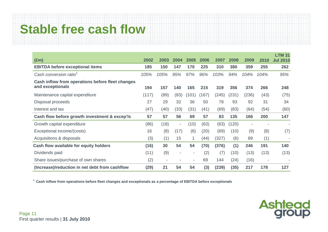## **Stable free cash flow**

| $(\text{Em})$                                                        | 2002  | 2003 | 2004                     | 2005                     | 2006  | 2007  | 2008  | 2009  | 2010                     | <b>LTM 31</b><br><b>Jul 2010</b> |
|----------------------------------------------------------------------|-------|------|--------------------------|--------------------------|-------|-------|-------|-------|--------------------------|----------------------------------|
| <b>EBITDA before exceptional items</b>                               | 185   | 150  | 147                      | 170                      | 225   | 310   | 380   | 359   | 255                      | 262                              |
| Cash conversion ratio <sup>1</sup>                                   | 105%  | 105% | 95%                      | 97%                      | 96%   | 103%  | 94%   | 104%  | 104%                     | 95%                              |
| Cash inflow from operations before fleet changes<br>and exceptionals | 194   | 157  | 140                      | 165                      | 215   | 319   | 356   | 374   | 266                      | 248                              |
| Maintenance capital expenditure                                      | (117) | (89) | (83)                     | (101)                    | (167) | (245) | (231) | (236) | (43)                     | (75)                             |
| Disposal proceeds                                                    | 27    | 29   | 32                       | 36                       | 50    | 78    | 93    | 92    | 31                       | 34                               |
| Interest and tax                                                     | (47)  | (40) | (33)                     | (31)                     | (41)  | (69)  | (83)  | (64)  | (54)                     | (60)                             |
| Cash flow before growth investment & excep'ls                        | 57    | 57   | 56                       | 69                       | 57    | 83    | 135   | 166   | 200                      | 147                              |
| Growth capital expenditure                                           | (86)  | (18) | $\overline{\phantom{a}}$ | (10)                     | (63)  | (63)  | (120) | ۰     |                          |                                  |
| Exceptional income/(costs)                                           | 16    | (8)  | (17)                     | (6)                      | (20)  | (69)  | (10)  | (9)   | (8)                      | (7)                              |
| Acquisitions & disposals                                             | (3)   | (1)  | 15                       | 1                        | (44)  | (327) | (6)   | 89    | (1)                      |                                  |
| Cash flow available for equity holders                               | (16)  | 30   | 54                       | 54                       | (70)  | (376) | (1)   | 246   | 191                      | 140                              |
| Dividends paid                                                       | (11)  | (9)  | $\overline{\phantom{a}}$ | $\overline{\phantom{a}}$ | (2)   | (7)   | (10)  | (13)  | (13)                     | (13)                             |
| Share issues/purchase of own shares                                  | (2)   | ٠    |                          | $\overline{\phantom{a}}$ | 69    | 144   | (24)  | (16)  | $\overline{\phantom{a}}$ |                                  |
| (Increase)/reduction in net debt from cashflow                       | (29)  | 21   | 54                       | 54                       | (3)   | (239) | (35)  | 217   | 178                      | 127                              |

**1 Cash inflow from operations before fleet changes and exceptionals as a percentage of EBITDA before exceptionals** 

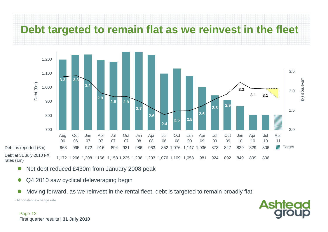

- $\bullet$ Net debt reduced £430m from January 2008 peak
- $\bullet$ Q4 2010 saw cyclical deleveraging begin
- $\bullet$ Moving forward, as we reinvest in the rental fleet, debt is targeted to remain broadly flat

1 At constant exchange rate

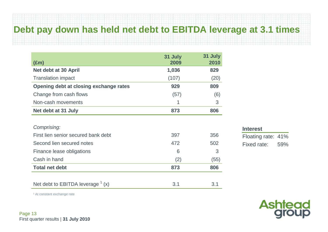### **Debt pay down has held net debt to EBITDA leverage at 3.1 times**

| $(\text{Em})$                          | 31 July<br>2009 | 31 July<br>2010 |
|----------------------------------------|-----------------|-----------------|
| Net debt at 30 April                   | 1,036           | 829             |
| <b>Translation impact</b>              | (107)           | (20)            |
| Opening debt at closing exchange rates | 929             | 809             |
| Change from cash flows                 | (57)            | (6)             |
| Non-cash movements                     |                 | 3               |
| Net debt at 31 July                    | 873             | 806             |
|                                        |                 |                 |
| Comprising:                            |                 |                 |
| First lien senior secured bank debt    | 397             | 356             |
| Second lien secured notes              | 472             | 502             |
| Finance lease obligations              | 6               | 3               |
| Cash in hand                           | (2)             | (55)            |
| <b>Total net debt</b>                  | 873             | 806             |
|                                        |                 |                 |
| Net debt to EBITDA leverage $(x)$      | 3.1             | 3.1             |

#### **Interest**

Floating rate: 41% Fixed rate: 59%

**Ashtead**<br>group

1 At constant exchange rate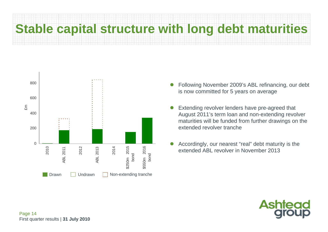# **Stable capital structure with long debt maturities**



- $\bullet$  Following November 2009's ABL refinancing, our debt is now committed for 5 years on average
- $\bullet$  Extending revolver lenders have pre-agreed that August 2011's term loan and non-extending revolver maturities will be funded from further drawings on the extended revolver tranche
- $\bullet$  Accordingly, our nearest "real" debt maturity is the extended ABL revolver in November 2013